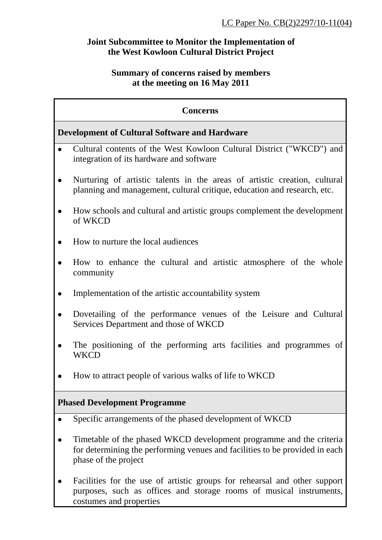## **Joint Subcommittee to Monitor the Implementation of the West Kowloon Cultural District Project**

#### **Summary of concerns raised by members at the meeting on 16 May 2011**

# **Concerns Development of Cultural Software and Hardware**  Cultural contents of the West Kowloon Cultural District ("WKCD") and integration of its hardware and software Nurturing of artistic talents in the areas of artistic creation, cultural planning and management, cultural critique, education and research, etc.

- How schools and cultural and artistic groups complement the development of WKCD
- How to nurture the local audiences
- How to enhance the cultural and artistic atmosphere of the whole community
- Implementation of the artistic accountability system
- Dovetailing of the performance venues of the Leisure and Cultural Services Department and those of WKCD
- The positioning of the performing arts facilities and programmes of **WKCD**
- How to attract people of various walks of life to WKCD

# **Phased Development Programme**

- Specific arrangements of the phased development of WKCD
- Timetable of the phased WKCD development programme and the criteria for determining the performing venues and facilities to be provided in each phase of the project
- Facilities for the use of artistic groups for rehearsal and other support purposes, such as offices and storage rooms of musical instruments, costumes and properties